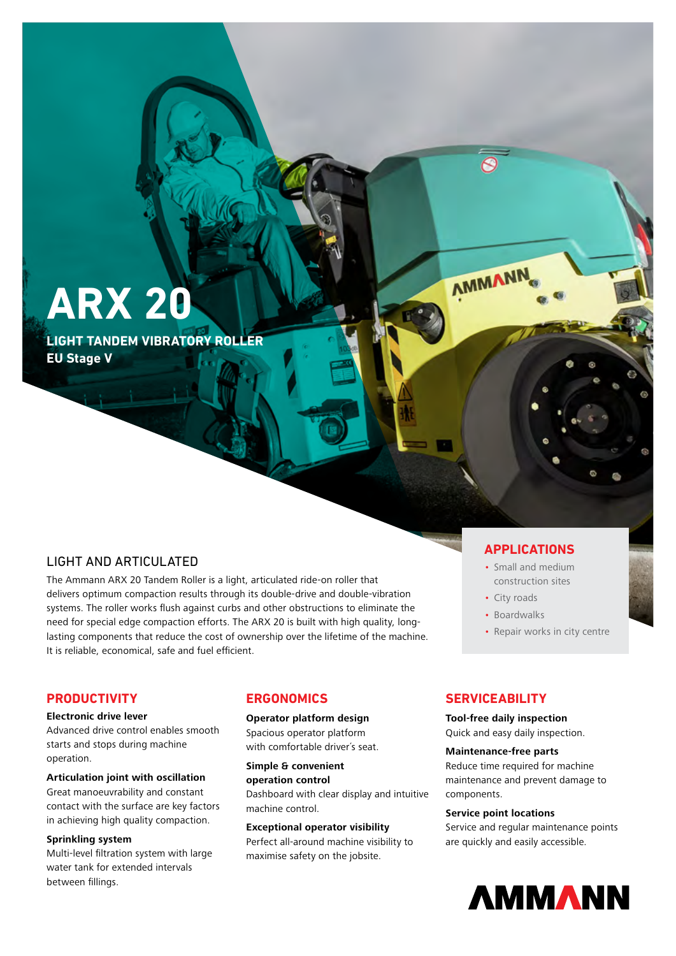**ARX 20**

**LIGHT TANDEM VIBRATORY ROLLER EU Stage V**

## LIGHT AND ARTICULATED

The Ammann ARX 20 Tandem Roller is a light, articulated ride-on roller that delivers optimum compaction results through its double-drive and double-vibration systems. The roller works flush against curbs and other obstructions to eliminate the need for special edge compaction efforts. The ARX 20 is built with high quality, longlasting components that reduce the cost of ownership over the lifetime of the machine. It is reliable, economical, safe and fuel efficient.

### **APPLICATIONS**

- Small and medium construction sites
- City roads

AMMANN

- Boardwalks
- Repair works in city centre

## **PRODUCTIVITY**

#### **Electronic drive lever**

Advanced drive control enables smooth starts and stops during machine operation.

## **Articulation joint with oscillation**

Great manoeuvrability and constant contact with the surface are key factors in achieving high quality compaction.

#### **Sprinkling system**

Multi-level filtration system with large water tank for extended intervals between fillings.

## **ERGONOMICS**

### **Operator platform design**

Spacious operator platform with comfortable driver´s seat.

### **Simple & convenient operation control**  Dashboard with clear display and intuitive machine control.

#### **Exceptional operator visibility**

Perfect all-around machine visibility to maximise safety on the jobsite.

## **SERVICEABILITY**

**Tool-free daily inspection** Quick and easy daily inspection.

#### **Maintenance-free parts**

Reduce time required for machine maintenance and prevent damage to components.

### **Service point locations**

Service and regular maintenance points are quickly and easily accessible.